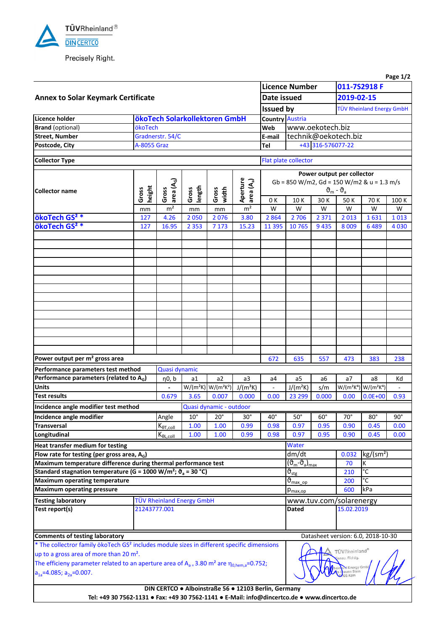

Precisely Right.

|                                                                                                                                                                                                                                                                                                                               |                 |                                           |                 |                                               |                                    |                                                                          |                                                           |            |                                       |                           | Page 1/2   |  |  |  |
|-------------------------------------------------------------------------------------------------------------------------------------------------------------------------------------------------------------------------------------------------------------------------------------------------------------------------------|-----------------|-------------------------------------------|-----------------|-----------------------------------------------|------------------------------------|--------------------------------------------------------------------------|-----------------------------------------------------------|------------|---------------------------------------|---------------------------|------------|--|--|--|
|                                                                                                                                                                                                                                                                                                                               |                 | <b>Licence Number</b>                     |                 | 011-7S2918 F                                  |                                    |                                                                          |                                                           |            |                                       |                           |            |  |  |  |
| <b>Annex to Solar Keymark Certificate</b>                                                                                                                                                                                                                                                                                     | Date issued     |                                           |                 | 2019-02-15                                    |                                    |                                                                          |                                                           |            |                                       |                           |            |  |  |  |
|                                                                                                                                                                                                                                                                                                                               |                 |                                           |                 |                                               |                                    |                                                                          |                                                           |            |                                       | TÜV Rheinland Energy GmbH |            |  |  |  |
| Licence holder                                                                                                                                                                                                                                                                                                                |                 |                                           |                 | ökoTech Solarkollektoren GmbH                 |                                    |                                                                          | <b>Issued by</b><br><b>Country Austria</b>                |            |                                       |                           |            |  |  |  |
| <b>Brand</b> (optional)                                                                                                                                                                                                                                                                                                       | ökoTech         |                                           |                 |                                               |                                    | Web                                                                      | www.oekotech.biz                                          |            |                                       |                           |            |  |  |  |
| <b>Street, Number</b>                                                                                                                                                                                                                                                                                                         |                 | Gradnerstr. 54/C                          |                 |                                               |                                    | E-mail                                                                   |                                                           |            | technik@oekotech.biz                  |                           |            |  |  |  |
| Postcode, City                                                                                                                                                                                                                                                                                                                | A-8055 Graz     |                                           |                 |                                               |                                    | Tel                                                                      | +43 316-576077-22                                         |            |                                       |                           |            |  |  |  |
| <b>Collector Type</b>                                                                                                                                                                                                                                                                                                         |                 |                                           |                 |                                               |                                    |                                                                          | Flat plate collector                                      |            |                                       |                           |            |  |  |  |
|                                                                                                                                                                                                                                                                                                                               |                 |                                           |                 |                                               |                                    |                                                                          |                                                           |            |                                       |                           |            |  |  |  |
|                                                                                                                                                                                                                                                                                                                               |                 |                                           |                 |                                               |                                    | Power output per collector<br>Gb = 850 W/m2, Gd = 150 W/m2 & u = 1.3 m/s |                                                           |            |                                       |                           |            |  |  |  |
| <b>Collector name</b>                                                                                                                                                                                                                                                                                                         |                 | area (A <sub>G</sub> )<br>Gross           | length<br>Gross | Gross<br>width                                | Aperture<br>area (A <sub>a</sub> ) | $\vartheta_{\rm m}$ - $\vartheta_{\rm a}$                                |                                                           |            |                                       |                           |            |  |  |  |
|                                                                                                                                                                                                                                                                                                                               | height<br>Gross |                                           |                 |                                               |                                    | 0 K                                                                      | 10K                                                       | 30 K       | 50 K<br>70 K                          |                           | 100 K      |  |  |  |
|                                                                                                                                                                                                                                                                                                                               | mm              | m <sup>2</sup>                            | mm              | mm                                            | m <sup>2</sup>                     | W                                                                        | W                                                         | W          | W                                     | W                         | W          |  |  |  |
| ökoTech GS <sup>2</sup> *                                                                                                                                                                                                                                                                                                     | 127             | 4.26                                      | 2050            | 2076                                          | 3.80                               | 2864                                                                     | 2 7 0 6                                                   | 2 3 7 1    | 2013                                  | 1631                      | 1013       |  |  |  |
| ökoTech GS <sup>2</sup> *                                                                                                                                                                                                                                                                                                     | 127             | 16.95                                     | 2 3 5 3         | 7 1 7 3                                       | 15.23                              | 11 3 9 5                                                                 | 10 765                                                    | 9 4 3 5    | 8 0 0 9                               | 6489                      | 4 0 3 0    |  |  |  |
|                                                                                                                                                                                                                                                                                                                               |                 |                                           |                 |                                               |                                    |                                                                          |                                                           |            |                                       |                           |            |  |  |  |
|                                                                                                                                                                                                                                                                                                                               |                 |                                           |                 |                                               |                                    |                                                                          |                                                           |            |                                       |                           |            |  |  |  |
|                                                                                                                                                                                                                                                                                                                               |                 |                                           |                 |                                               |                                    |                                                                          |                                                           |            |                                       |                           |            |  |  |  |
|                                                                                                                                                                                                                                                                                                                               |                 |                                           |                 |                                               |                                    |                                                                          |                                                           |            |                                       |                           |            |  |  |  |
|                                                                                                                                                                                                                                                                                                                               |                 |                                           |                 |                                               |                                    |                                                                          |                                                           |            |                                       |                           |            |  |  |  |
|                                                                                                                                                                                                                                                                                                                               |                 |                                           |                 |                                               |                                    |                                                                          |                                                           |            |                                       |                           |            |  |  |  |
|                                                                                                                                                                                                                                                                                                                               |                 |                                           |                 |                                               |                                    |                                                                          |                                                           |            |                                       |                           |            |  |  |  |
|                                                                                                                                                                                                                                                                                                                               |                 |                                           |                 |                                               |                                    |                                                                          |                                                           |            |                                       |                           |            |  |  |  |
|                                                                                                                                                                                                                                                                                                                               |                 |                                           |                 |                                               |                                    |                                                                          |                                                           |            |                                       |                           |            |  |  |  |
|                                                                                                                                                                                                                                                                                                                               |                 |                                           |                 |                                               |                                    |                                                                          |                                                           |            |                                       |                           |            |  |  |  |
|                                                                                                                                                                                                                                                                                                                               |                 |                                           |                 |                                               |                                    |                                                                          |                                                           |            |                                       |                           |            |  |  |  |
|                                                                                                                                                                                                                                                                                                                               |                 |                                           |                 |                                               |                                    |                                                                          |                                                           |            |                                       |                           |            |  |  |  |
|                                                                                                                                                                                                                                                                                                                               |                 |                                           |                 |                                               |                                    |                                                                          |                                                           |            |                                       |                           |            |  |  |  |
|                                                                                                                                                                                                                                                                                                                               |                 |                                           |                 |                                               |                                    |                                                                          |                                                           |            |                                       |                           |            |  |  |  |
| Power output per m <sup>2</sup> gross area                                                                                                                                                                                                                                                                                    |                 |                                           |                 |                                               |                                    | 672                                                                      | 635                                                       | 557        | 473                                   | 383                       | 238        |  |  |  |
| Performance parameters test method                                                                                                                                                                                                                                                                                            |                 | Quasi dynamic                             |                 |                                               |                                    |                                                                          |                                                           |            |                                       |                           |            |  |  |  |
| Performance parameters (related to AG)                                                                                                                                                                                                                                                                                        |                 | $\eta$ 0, b                               | a1              | a2                                            | a3                                 | a4                                                                       | a5                                                        | a6         | a7                                    | a8                        | Kd         |  |  |  |
| <b>Units</b>                                                                                                                                                                                                                                                                                                                  |                 |                                           |                 | $W/(m^2K)$ W/(m <sup>2</sup> K <sup>2</sup> ) | $J/(m^3K)$                         |                                                                          | $J/(m^2K)$                                                | s/m        | $W/(m^2K^4)$                          | $W/(m^2K^4)$              |            |  |  |  |
| <b>Test results</b>                                                                                                                                                                                                                                                                                                           |                 | 0.679                                     | 3.65            | 0.007                                         | 0.000                              | 0.00                                                                     | 23 299                                                    | 0.000      | 0.00                                  | $0.0E + 00$               | 0.93       |  |  |  |
| Incidence angle modifier test method                                                                                                                                                                                                                                                                                          |                 |                                           |                 | Quasi dynamic - outdoor                       |                                    |                                                                          |                                                           |            |                                       |                           |            |  |  |  |
| Incidence angle modifier                                                                                                                                                                                                                                                                                                      |                 | Angle                                     | $10^{\circ}$    | $20^{\circ}$                                  | $30^\circ$                         | $40^{\circ}$                                                             | $50^\circ$                                                | $60^\circ$ | $70^{\circ}$                          | $80^\circ$                | $90^\circ$ |  |  |  |
| <b>Transversal</b>                                                                                                                                                                                                                                                                                                            |                 | $K_{\underline{\theta T_{.} coll}}$       | 1.00            | 1.00                                          | 0.99                               | 0.98                                                                     | 0.97                                                      | 0.95       | 0.90                                  | 0.45                      | 0.00       |  |  |  |
| Longitudinal                                                                                                                                                                                                                                                                                                                  |                 | $K_{\theta L, coll}$                      | 1.00            | 1.00                                          | 0.99                               | 0.98                                                                     | 0.97                                                      | 0.95       | 0.90                                  | 0.45                      | 0.00       |  |  |  |
| Heat transfer medium for testing                                                                                                                                                                                                                                                                                              |                 |                                           |                 |                                               |                                    |                                                                          | Water                                                     |            |                                       |                           |            |  |  |  |
| Flow rate for testing (per gross area, A <sub>G</sub> )                                                                                                                                                                                                                                                                       |                 |                                           |                 |                                               |                                    |                                                                          | dm/dt                                                     |            | 0.032                                 | kg/(sm <sup>2</sup> )     |            |  |  |  |
| Maximum temperature difference during thermal performance test                                                                                                                                                                                                                                                                |                 |                                           |                 |                                               |                                    |                                                                          | $(\vartheta_{\rm m} - \vartheta_{\rm a})_{\rm max}$<br>70 |            |                                       | К                         |            |  |  |  |
| Standard stagnation temperature (G = 1000 W/m <sup>2</sup> ; $\vartheta_a$ = 30 °C)                                                                                                                                                                                                                                           |                 |                                           |                 |                                               |                                    |                                                                          | $\vartheta_{\text{stg}}$                                  |            | 210                                   | °C                        |            |  |  |  |
| <b>Maximum operating temperature</b>                                                                                                                                                                                                                                                                                          |                 |                                           |                 |                                               |                                    |                                                                          | $\overline{\vartheta}_{\text{max op}}$                    |            | 200                                   | $\overline{c}$            |            |  |  |  |
| <b>Maximum operating pressure</b>                                                                                                                                                                                                                                                                                             |                 |                                           |                 |                                               |                                    |                                                                          | $p_{\text{max,op}}$                                       |            | 600                                   | kPa                       |            |  |  |  |
| <b>Testing laboratory</b>                                                                                                                                                                                                                                                                                                     |                 |                                           |                 |                                               |                                    |                                                                          |                                                           |            |                                       |                           |            |  |  |  |
| Test report(s)                                                                                                                                                                                                                                                                                                                |                 | TÜV Rheinland Energy GmbH<br>21243777.001 |                 |                                               |                                    |                                                                          |                                                           |            | www.tuv.com/solarenergy<br>15.02.2019 |                           |            |  |  |  |
|                                                                                                                                                                                                                                                                                                                               |                 |                                           |                 |                                               |                                    |                                                                          | <b>Dated</b>                                              |            |                                       |                           |            |  |  |  |
|                                                                                                                                                                                                                                                                                                                               |                 |                                           |                 |                                               |                                    |                                                                          |                                                           |            |                                       |                           |            |  |  |  |
| <b>Comments of testing laboratory</b>                                                                                                                                                                                                                                                                                         |                 |                                           |                 |                                               |                                    |                                                                          | Datasheet version: 6.0, 2018-10-30                        |            |                                       |                           |            |  |  |  |
|                                                                                                                                                                                                                                                                                                                               |                 |                                           |                 |                                               |                                    |                                                                          |                                                           |            |                                       |                           |            |  |  |  |
|                                                                                                                                                                                                                                                                                                                               |                 |                                           |                 |                                               |                                    |                                                                          |                                                           |            | TÜVRheinland®                         |                           |            |  |  |  |
|                                                                                                                                                                                                                                                                                                                               |                 |                                           |                 |                                               |                                    |                                                                          |                                                           |            |                                       |                           |            |  |  |  |
|                                                                                                                                                                                                                                                                                                                               |                 |                                           |                 |                                               |                                    |                                                                          |                                                           |            | Jenau, Richtig.                       |                           |            |  |  |  |
| * The collectror family ökoTech GS <sup>2</sup> includes module sizes in different specific dimensions<br>up to a gross area of more than 20 m <sup>2</sup> .<br>The efficieny parameter related to an aperture area of $A_{a} = 3.80$ m <sup>2</sup> are $\eta_{0,hem,a} = 0.752$ ;<br>$a_{1a} = 4.085$ ; $a_{2a} = 0.007$ . |                 |                                           |                 |                                               |                                    |                                                                          |                                                           |            | thein and Energy Gmb                  |                           |            |  |  |  |